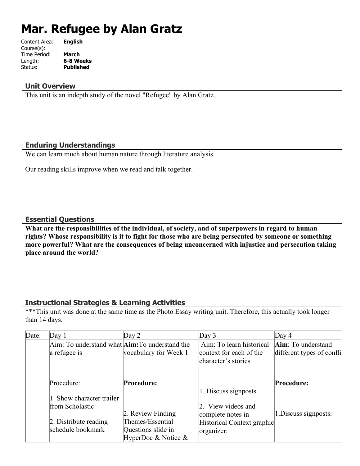# **Mar. Refugee by Alan Gratz**

| Content Area: | <b>English</b>   |
|---------------|------------------|
| Course(s):    |                  |
| Time Period:  | <b>March</b>     |
| Length:       | 6-8 Weeks        |
| Status:       | <b>Published</b> |
|               |                  |

#### **Unit Overview**

This unit is an indepth study of the novel "Refugee" by Alan Gratz.

#### **Enduring Understandings**

We can learn much about human nature through literature analysis.

Our reading skills improve when we read and talk together.

#### **Essential Questions**

**What are the responsibilities of the individual, of society, and of superpowers in regard to human rights? Whose responsibility is it to fight for those who are being persecuted by someone or something more powerful? What are the consequences of being unconcerned with injustice and persecution taking place around the world?**

#### **Instructional Strategies & Learning Activities**

\*\*\*This unit was done at the same time as the Photo Essay writing unit. Therefore, this actually took longer than 14 days.

| Date: | Day 1                                                           | Day $2$                | Day 3                      | Day $4$                   |
|-------|-----------------------------------------------------------------|------------------------|----------------------------|---------------------------|
|       | Aim: To understand what $\text{Aim:}\mathrm{To}$ understand the |                        | Aim: To learn historical   | Aim: To understand        |
|       | a refugee is                                                    | vocabulary for Week 1  | context for each of the    | different types of confli |
|       |                                                                 |                        | character's stories        |                           |
|       |                                                                 |                        |                            |                           |
|       | Procedure:                                                      | Procedure:             |                            | Procedure:                |
|       |                                                                 |                        | 1. Discuss signposts       |                           |
|       | 1. Show character trailer                                       |                        |                            |                           |
|       | from Scholastic                                                 |                        | 2. View videos and         |                           |
|       |                                                                 | 2. Review Finding      | complete notes in          | 1. Discuss signposts.     |
|       | $\vert$ 2. Distribute reading                                   | Themes/Essential       | Historical Context graphic |                           |
|       | schedule bookmark                                               | Questions slide in     | organizer:                 |                           |
|       |                                                                 | HyperDoc & Notice $\&$ |                            |                           |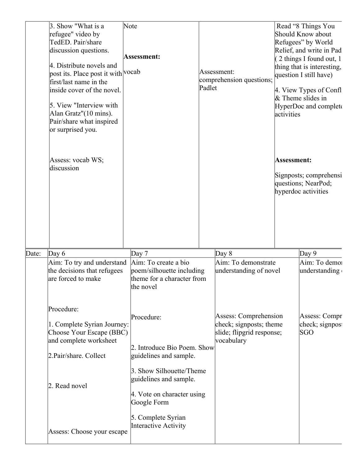|       | 3. Show "What is a<br>refugee" video by<br>TedED. Pair/share<br>discussion questions.<br>4. Distribute novels and<br>post its. Place post it with vocab<br>first/last name in the<br>inside cover of the novel.<br>5. View "Interview with"<br>Alan Gratz"(10 mins).<br>Pair/share what inspired<br>or surprised you.<br>Assess: vocab WS;<br>discussion | Note<br>Assessment:                                                                                                                                                    | Padlet | Assessment:<br>comprehension questions;                                                     | activities<br>Assessment: | Read "8 Things You<br>Should Know about<br>Refugees" by World<br>Relief, and write in Pad<br>2 things I found out, 1<br>thing that is interesting,<br>question I still have)<br>4. View Types of Confl<br>$\&$ Theme slides in<br>HyperDoc and complet<br>Signposts; comprehensi<br>questions; NearPod;<br>hyperdoc activities |
|-------|----------------------------------------------------------------------------------------------------------------------------------------------------------------------------------------------------------------------------------------------------------------------------------------------------------------------------------------------------------|------------------------------------------------------------------------------------------------------------------------------------------------------------------------|--------|---------------------------------------------------------------------------------------------|---------------------------|--------------------------------------------------------------------------------------------------------------------------------------------------------------------------------------------------------------------------------------------------------------------------------------------------------------------------------|
| Date: | Day $6$<br>Aim: To try and understand<br>the decisions that refugees<br>are forced to make                                                                                                                                                                                                                                                               | Day 7<br>Aim: To create a bio<br>poem/silhouette including<br>theme for a character from<br>the novel                                                                  |        | Day $8$<br>Aim: To demonstrate<br>understanding of novel                                    |                           | Day 9<br>Aim: To demoi<br>understanding                                                                                                                                                                                                                                                                                        |
|       | Procedure:<br>1. Complete Syrian Journey:<br>Choose Your Escape (BBC)<br>and complete worksheet<br>2. Pair/share. Collect<br>2. Read novel                                                                                                                                                                                                               | Procedure:<br>2. Introduce Bio Poem. Show<br>guidelines and sample.<br>3. Show Silhouette/Theme<br>guidelines and sample.<br>4. Vote on character using<br>Google Form |        | Assess: Comprehension<br>check; signposts; theme<br>slide; flipgrid response;<br>vocabulary |                           | Assess: Compr<br>check; signpos<br>SGO                                                                                                                                                                                                                                                                                         |
|       | Assess: Choose your escape                                                                                                                                                                                                                                                                                                                               | 5. Complete Syrian<br>Interactive Activity                                                                                                                             |        |                                                                                             |                           |                                                                                                                                                                                                                                                                                                                                |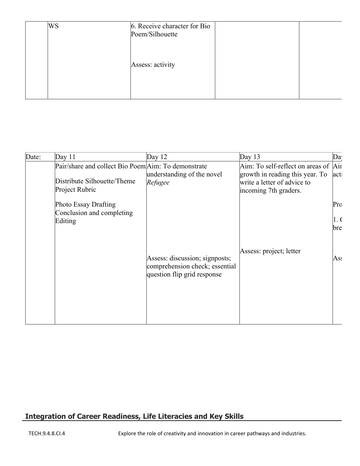| WS | 6. Receive character for Bio<br>Poem/Silhouette |  |
|----|-------------------------------------------------|--|
|    | Assess: activity                                |  |
|    |                                                 |  |

| Date: | Day $11$                                                     | Day $12$                                                                                        | Day $13$                                                                                | Da                |
|-------|--------------------------------------------------------------|-------------------------------------------------------------------------------------------------|-----------------------------------------------------------------------------------------|-------------------|
|       | Pair/share and collect Bio Poem Aim: To demonstrate          |                                                                                                 | $Aim$ : To self-reflect on areas of $Air$                                               |                   |
|       | Distribute Silhouette/Theme<br>Project Rubric                | understanding of the novel<br>Refugee                                                           | growth in reading this year. To<br>write a letter of advice to<br>incoming 7th graders. | act               |
|       | Photo Essay Drafting<br>Conclusion and completing<br>Editing |                                                                                                 |                                                                                         | Pro<br>1.6<br>bre |
|       |                                                              | Assess: discussion; signposts;<br>comprehension check; essential<br>question flip grid response | Assess: project; letter                                                                 | As:               |

# **Integration of Career Readiness, Life Literacies and Key Skills**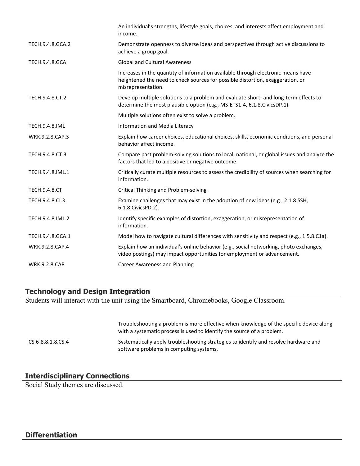| An individual's strengths, lifestyle goals, choices, and interests affect employment and<br>income.                                                                                      |
|------------------------------------------------------------------------------------------------------------------------------------------------------------------------------------------|
| Demonstrate openness to diverse ideas and perspectives through active discussions to<br>achieve a group goal.                                                                            |
| <b>Global and Cultural Awareness</b>                                                                                                                                                     |
| Increases in the quantity of information available through electronic means have<br>heightened the need to check sources for possible distortion, exaggeration, or<br>misrepresentation. |
| Develop multiple solutions to a problem and evaluate short- and long-term effects to<br>determine the most plausible option (e.g., MS-ETS1-4, 6.1.8.CivicsDP.1).                         |
| Multiple solutions often exist to solve a problem.                                                                                                                                       |
| Information and Media Literacy                                                                                                                                                           |
| Explain how career choices, educational choices, skills, economic conditions, and personal<br>behavior affect income.                                                                    |
| Compare past problem-solving solutions to local, national, or global issues and analyze the<br>factors that led to a positive or negative outcome.                                       |
| Critically curate multiple resources to assess the credibility of sources when searching for<br>information.                                                                             |
| Critical Thinking and Problem-solving                                                                                                                                                    |
| Examine challenges that may exist in the adoption of new ideas (e.g., 2.1.8.SSH,<br>6.1.8. Civics PD. 2).                                                                                |
| Identify specific examples of distortion, exaggeration, or misrepresentation of<br>information.                                                                                          |
| Model how to navigate cultural differences with sensitivity and respect (e.g., 1.5.8.C1a).                                                                                               |
| Explain how an individual's online behavior (e.g., social networking, photo exchanges,<br>video postings) may impact opportunities for employment or advancement.                        |
| <b>Career Awareness and Planning</b>                                                                                                                                                     |
|                                                                                                                                                                                          |

#### **Technology and Design Integration**

Students will interact with the unit using the Smartboard, Chromebooks, Google Classroom.

|                   | Troubleshooting a problem is more effective when knowledge of the specific device along<br>with a systematic process is used to identify the source of a problem. |
|-------------------|-------------------------------------------------------------------------------------------------------------------------------------------------------------------|
| CS.6-8.8.1.8.CS.4 | Systematically apply troubleshooting strategies to identify and resolve hardware and<br>software problems in computing systems.                                   |

## **Interdisciplinary Connections**

Social Study themes are discussed.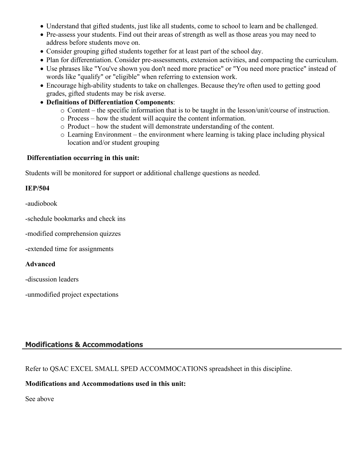- Understand that gifted students, just like all students, come to school to learn and be challenged.
- Pre-assess your students. Find out their areas of strength as well as those areas you may need to address before students move on.
- Consider grouping gifted students together for at least part of the school day.
- Plan for differentiation. Consider pre-assessments, extension activities, and compacting the curriculum.
- Use phrases like "You've shown you don't need more practice" or "You need more practice" instead of words like "qualify" or "eligible" when referring to extension work.
- Encourage high-ability students to take on challenges. Because they're often used to getting good grades, gifted students may be risk averse.
- **Definitions of Differentiation Components**:
	- o Content the specific information that is to be taught in the lesson/unit/course of instruction.
	- o Process how the student will acquire the content information.
	- o Product how the student will demonstrate understanding of the content.
	- $\circ$  Learning Environment the environment where learning is taking place including physical location and/or student grouping

#### **Differentiation occurring in this unit:**

Students will be monitored for support or additional challenge questions as needed.

#### **IEP/504**

-audiobook

-schedule bookmarks and check ins

-modified comprehension quizzes

-extended time for assignments

#### **Advanced**

-discussion leaders

-unmodified project expectations

## **Modifications & Accommodations**

Refer to QSAC EXCEL SMALL SPED ACCOMMOCATIONS spreadsheet in this discipline.

#### **Modifications and Accommodations used in this unit:**

See above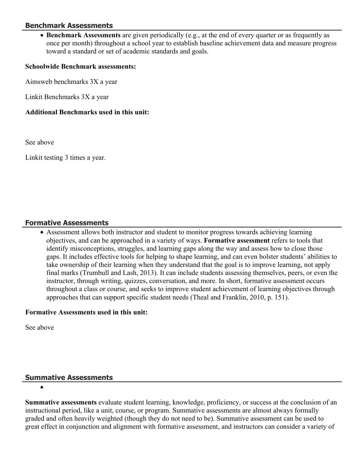#### **Benchmark Assessments**

 **Benchmark Assessments** are given periodically (e.g., at the end of every quarter or as frequently as once per month) throughout a school year to establish baseline achievement data and measure progress toward a standard or set of academic standards and goals.

#### **Schoolwide Benchmark assessments:**

Aimsweb benchmarks 3X a year

Linkit Benchmarks 3X a year

#### **Additional Benchmarks used in this unit:**

See above

Linkit testing 3 times a year.

#### **Formative Assessments**

 Assessment allows both instructor and student to monitor progress towards achieving learning objectives, and can be approached in a variety of ways. **Formative assessment** refers to tools that identify misconceptions, struggles, and learning gaps along the way and assess how to close those gaps. It includes effective tools for helping to shape learning, and can even bolster students' abilities to take ownership of their learning when they understand that the goal is to improve learning, not apply final marks (Trumbull and Lash, 2013). It can include students assessing themselves, peers, or even the instructor, through writing, quizzes, conversation, and more. In short, formative assessment occurs throughout a class or course, and seeks to improve student achievement of learning objectives through approaches that can support specific student needs (Theal and Franklin, 2010, p. 151).

#### **Formative Assessments used in this unit:**

See above

#### **Summative Assessments**

 $\bullet$ 

**Summative assessments** evaluate student learning, knowledge, proficiency, or success at the conclusion of an instructional period, like a unit, course, or program. Summative assessments are almost always formally graded and often heavily weighted (though they do not need to be). Summative assessment can be used to great effect in conjunction and alignment with formative assessment, and instructors can consider a variety of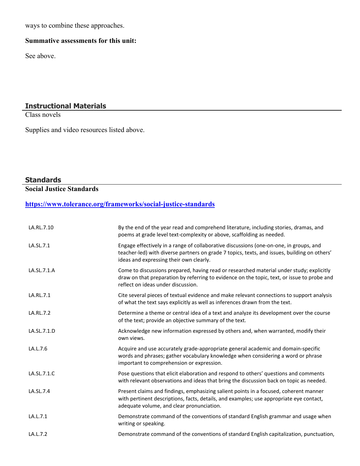ways to combine these approaches.

# **Summative assessments for this unit:**

See above.

#### **Instructional Materials**

Class novels

Supplies and video resources listed above.

# **Standards**

**Social Justice Standards**

#### **<https://www.tolerance.org/frameworks/social-justice-standards>**

| LA.RL.7.10  | By the end of the year read and comprehend literature, including stories, dramas, and<br>poems at grade level text-complexity or above, scaffolding as needed.                                                                    |
|-------------|-----------------------------------------------------------------------------------------------------------------------------------------------------------------------------------------------------------------------------------|
| LA.SL.7.1   | Engage effectively in a range of collaborative discussions (one-on-one, in groups, and<br>teacher-led) with diverse partners on grade 7 topics, texts, and issues, building on others'<br>ideas and expressing their own clearly. |
| LA.SL.7.1.A | Come to discussions prepared, having read or researched material under study; explicitly<br>draw on that preparation by referring to evidence on the topic, text, or issue to probe and<br>reflect on ideas under discussion.     |
| LA.RL.7.1   | Cite several pieces of textual evidence and make relevant connections to support analysis<br>of what the text says explicitly as well as inferences drawn from the text.                                                          |
| LA.RL.7.2   | Determine a theme or central idea of a text and analyze its development over the course<br>of the text; provide an objective summary of the text.                                                                                 |
| LA.SL.7.1.D | Acknowledge new information expressed by others and, when warranted, modify their<br>own views.                                                                                                                                   |
| LA.L.7.6    | Acquire and use accurately grade-appropriate general academic and domain-specific<br>words and phrases; gather vocabulary knowledge when considering a word or phrase<br>important to comprehension or expression.                |
| LA.SL.7.1.C | Pose questions that elicit elaboration and respond to others' questions and comments<br>with relevant observations and ideas that bring the discussion back on topic as needed.                                                   |
| LA.SL.7.4   | Present claims and findings, emphasizing salient points in a focused, coherent manner<br>with pertinent descriptions, facts, details, and examples; use appropriate eye contact,<br>adequate volume, and clear pronunciation.     |
| LA.L.7.1    | Demonstrate command of the conventions of standard English grammar and usage when<br>writing or speaking.                                                                                                                         |
| LA.L.7.2    | Demonstrate command of the conventions of standard English capitalization, punctuation,                                                                                                                                           |